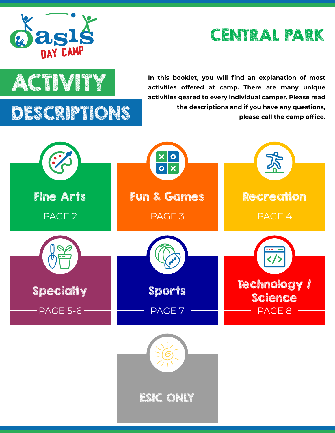





**ACTIVITY** In this booklet, you will find an explanation of most<br>activities offered at camp. There are many unique **activities offered at camp. There are many unique activities geared to every individual camper. Please read the descriptions and if you have any questions, please call the camp office.**

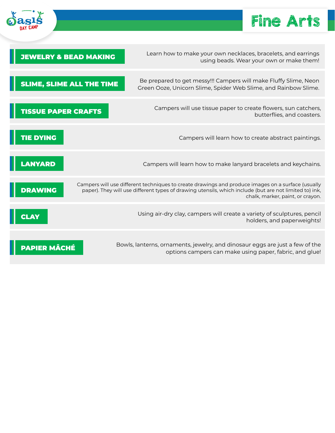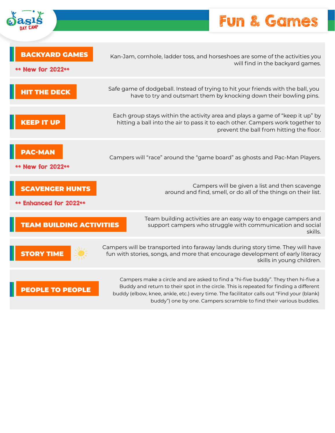

## Fun & Games

| <b>BACKYARD GAMES</b>                            | Kan-Jam, cornhole, ladder toss, and horseshoes are some of the activities you                                                                                                                                                                                       |
|--------------------------------------------------|---------------------------------------------------------------------------------------------------------------------------------------------------------------------------------------------------------------------------------------------------------------------|
| ** New for 2022**                                | will find in the backyard games.                                                                                                                                                                                                                                    |
| <b>HIT THE DECK</b>                              | Safe game of dodgeball. Instead of trying to hit your friends with the ball, you<br>have to try and outsmart them by knocking down their bowling pins.                                                                                                              |
| KEEP IT UP                                       | Each group stays within the activity area and plays a game of "keep it up" by<br>hitting a ball into the air to pass it to each other. Campers work together to<br>prevent the ball from hitting the floor.                                                         |
| <b>PAC-MAN</b><br>** New for 2022**              | Campers will "race" around the "game board" as ghosts and Pac-Man Players.                                                                                                                                                                                          |
| <b>SCAVENGER HUNTS</b><br>** Enhanced for 2022** | Campers will be given a list and then scavenge<br>around and find, smell, or do all of the things on their list.                                                                                                                                                    |
| <b>TEAM BUILDING ACTIVITIES</b>                  | Team building activities are an easy way to engage campers and<br>support campers who struggle with communication and social<br>skills.                                                                                                                             |
| <b>STORY TIME</b>                                | Campers will be transported into faraway lands during story time. They will have<br>fun with stories, songs, and more that encourage development of early literacy<br>skills in young children.                                                                     |
| <b>PEOPLE TO PEOPLE</b>                          | Campers make a circle and are asked to find a "hi-five buddy". They then hi-five a<br>Buddy and return to their spot in the circle. This is repeated for finding a different<br>buddy (alboy knoo ankle ate) over time The facilitator calls out "Find your (blank) |

buddy (elbow, knee, ankle, etc.) every time. The facilitator calls out "Find your (blank) buddy") one by one. Campers scramble to find their various buddies.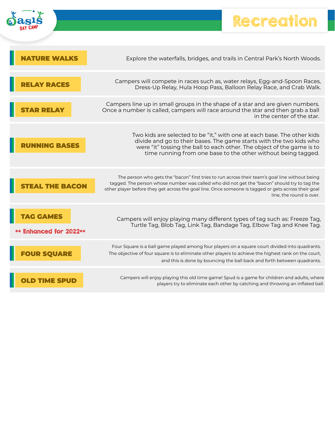

## Recreation

Ł

|                        | Explore the waterfalls, bridges, and trails in Central Park's North Woods.                                                                                                                                                                                                                                                        |
|------------------------|-----------------------------------------------------------------------------------------------------------------------------------------------------------------------------------------------------------------------------------------------------------------------------------------------------------------------------------|
|                        | Campers will compete in races such as, water relays, Egg-and-Spoon Races,<br>Dress-Up Relay, Hula Hoop Pass, Balloon Relay Race, and Crab Walk.                                                                                                                                                                                   |
|                        | Campers line up in small groups in the shape of a star and are given numbers.<br>Once a number is called, campers will race around the star and then grab a ball<br>in the center of the star.                                                                                                                                    |
|                        | Two kids are selected to be "it," with one at each base. The other kids<br>divide and go to their bases. The game starts with the two kids who<br>were "it" tossing the ball to each other. The object of the game is to<br>time running from one base to the other without being tagged.                                         |
| <b>THE BACON</b>       | The person who gets the "bacon" first tries to run across their team's goal line without being<br>tagged. The person whose number was called who did not get the "bacon" should try to tag the<br>other player before they get across the goal line. Once someone is tagged or gets across their goal<br>line, the round is over. |
| ** Enhanced for 2022** | Campers will enjoy playing many different types of tag such as: Freeze Tag,<br>Turtle Tag, Blob Tag, Link Tag, Bandage Tag, Elbow Tag and Knee Tag.                                                                                                                                                                               |
| <b>FOUR SQUARE</b>     | Four Square is a ball game played among four players on a square court divided into quadrants.<br>The objective of four square is to eliminate other players to achieve the highest rank on the court,<br>and this is done by bouncing the ball back and forth between quadrants.                                                 |
|                        | Campers will enjoy playing this old time game! Spud is a game for children and adults, where<br>players try to eliminate each other by catching and throwing an inflated ball.                                                                                                                                                    |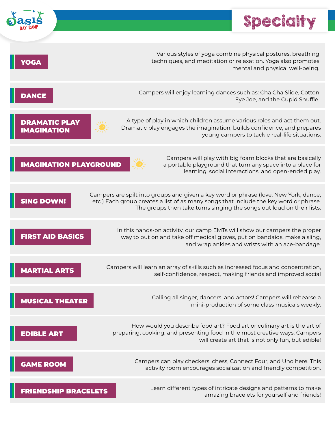|                                    | Special                                                                                                                                                                                                                                                |
|------------------------------------|--------------------------------------------------------------------------------------------------------------------------------------------------------------------------------------------------------------------------------------------------------|
|                                    |                                                                                                                                                                                                                                                        |
| YOGA                               | Various styles of yoga combine physical postures, breathing<br>techniques, and meditation or relaxation. Yoga also promotes<br>mental and physical well-being.                                                                                         |
| DANCE                              | Campers will enjoy learning dances such as: Cha Cha Slide, Cotton<br>Eye Joe, and the Cupid Shuffle.                                                                                                                                                   |
| DRAMATIC PLAY<br><b>IAGINATION</b> | A type of play in which children assume various roles and act them out.<br>Dramatic play engages the imagination, builds confidence, and prepares<br>young campers to tackle real-life situations.                                                     |
| <b>IMAGINATION PLAYGROUND</b>      | Campers will play with big foam blocks that are basically<br>a portable playground that turn any space into a place for<br>learning, social interactions, and open-ended play.                                                                         |
| <b>SING DOWN!</b>                  | Campers are spilt into groups and given a key word or phrase (love, New York, dance,<br>etc.) Each group creates a list of as many songs that include the key word or phrase.<br>The groups then take turns singing the songs out loud on their lists. |
| <b>FIRST AID BASICS</b>            | In this hands-on activity, our camp EMTs will show our campers the proper<br>way to put on and take off medical gloves, put on bandaids, make a sling,<br>and wrap ankles and wrists with an ace-bandage.                                              |
| <b>MARTIAL ARTS</b>                | Campers will learn an array of skills such as increased focus and concentration,<br>self-confidence, respect, making friends and improved social                                                                                                       |
| <b>MUSICAL THEATER</b>             | Calling all singer, dancers, and actors! Campers will rehearse a<br>mini-production of some class musicals weekly.                                                                                                                                     |
| <b>EDIBLE ART</b>                  | How would you describe food art? Food art or culinary art is the art of<br>preparing, cooking, and presenting food in the most creative ways. Campers<br>will create art that is not only fun, but edible!                                             |
| <b>GAME ROOM</b>                   | Campers can play checkers, chess, Connect Four, and Uno here. This<br>activity room encourages socialization and friendly competition.                                                                                                                 |
| <b>FRIENDSHIP BRACELETS</b>        | Learn different types of intricate designs and patterns to make<br>amazing bracelets for yourself and friends!                                                                                                                                         |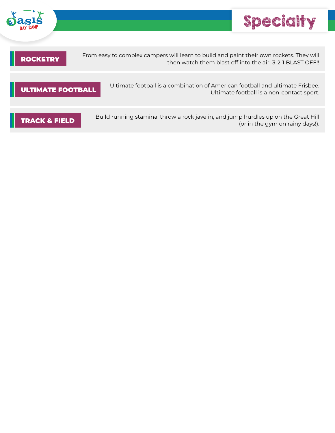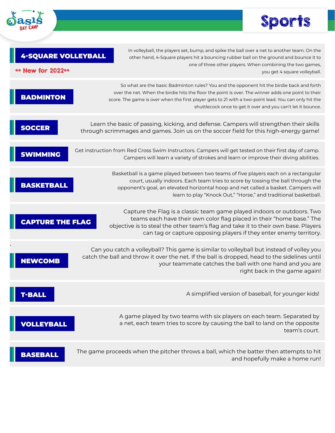

## Sports

| <b>4-SQUARE VOLLEYBALL</b><br><b>New for 2022**</b> | In volleyball, the players set, bump, and spike the ball over a net to another team. On the<br>other hand, 4-Square players hit a bouncing rubber ball on the ground and bounce it to<br>one of three other players. When combining the two games,<br>you get 4 square volleyball.                                                                                      |
|-----------------------------------------------------|-------------------------------------------------------------------------------------------------------------------------------------------------------------------------------------------------------------------------------------------------------------------------------------------------------------------------------------------------------------------------|
| <b>BADMINTON</b>                                    | So what are the basic Badminton rules? You and the opponent hit the birdie back and forth<br>over the net. When the birdie hits the floor the point is over. The winner adds one point to their<br>score. The game is over when the first player gets to 21 with a two-point lead. You can only hit the<br>shuttlecock once to get it over and you can't let it bounce. |
| SOCCER                                              | Learn the basic of passing, kicking, and defense. Campers will strengthen their skills<br>through scrimmages and games. Join us on the soccer field for this high-energy game!                                                                                                                                                                                          |
|                                                     | Get instruction from Red Cross Swim Instructors. Campers will get tested on their first day of camp.<br>Campers will learn a variety of strokes and learn or improve their diving abilities.                                                                                                                                                                            |
| <b>BASKETBALL</b>                                   | Basketball is a game played between two teams of five players each on a rectangular<br>court, usually indoors. Each team tries to score by tossing the ball through the<br>opponent's goal, an elevated horizontal hoop and net called a basket. Campers will<br>learn to play "Knock Out," "Horse," and traditional basketball.                                        |
| <b>CAPTURE THE FLAG</b>                             | Capture the Flag is a classic team game played indoors or outdoors. Two<br>teams each have their own color flag placed in their "home base." The<br>objective is to steal the other team's flag and take it to their own base. Players<br>can tag or capture opposing players if they enter enemy territory.                                                            |
|                                                     | Can you catch a volleyball? This game is similar to volleyball but instead of volley you<br>catch the ball and throw it over the net. If the ball is dropped, head to the sidelines until<br>your teammate catches the ball with one hand and you are<br>right back in the game again!                                                                                  |
| -BALL                                               | A simplified version of baseball, for younger kids!                                                                                                                                                                                                                                                                                                                     |
| VOLLEYBALL                                          | A game played by two teams with six players on each team. Separated by<br>a net, each team tries to score by causing the ball to land on the opposite<br>team's court.                                                                                                                                                                                                  |
| BASEBALL                                            | The game proceeds when the pitcher throws a ball, which the batter then attempts to hit<br>and hopefully make a home run!                                                                                                                                                                                                                                               |